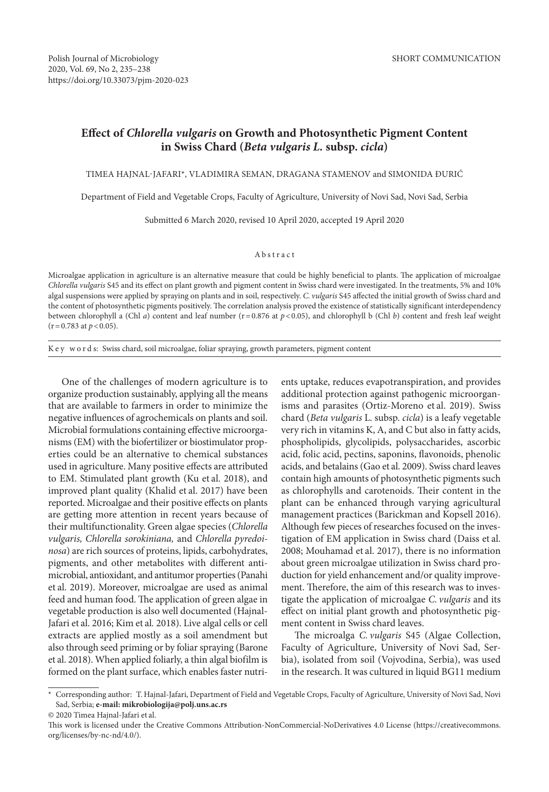# **Effect of** *Chlorella vulgaris* **on Growth and Photosynthetic Pigment Content in Swiss Chard (***Beta vulgaris L.* **subsp.** *cicla***)**

TIMEA HAJNAL-JAFARI\*, VLADIMIRA SEMAN, DRAGANA STAMENOV and SIMONIDA ĐURIĆ

Department of Field and Vegetable Crops, Faculty of Agriculture, University of Novi Sad, Novi Sad, Serbia

Submitted 6 March 2020, revised 10 April 2020, accepted 19 April 2020

## Abstract

Microalgae application in agriculture is an alternative measure that could be highly beneficial to plants. The application of microalgae *Chlorella vulgaris* S45 and its effect on plant growth and pigment content in Swiss chard were investigated. In the treatments, 5% and 10% algal suspensions were applied by spraying on plants and in soil, respectively. *C. vulgaris* S45 affected the initial growth of Swiss chard and the content of photosynthetic pigments positively. The correlation analysis proved the existence of statistically significant interdependency between chlorophyll a (Chl *a*) content and leaf number (r=0.876 at *p*<0.05), and chlorophyll b (Chl *b*) content and fresh leaf weight  $(r=0.783 \text{ at } p < 0.05).$ 

K e y w o r d s: Swiss chard, soil microalgae, foliar spraying, growth parameters, pigment content

One of the challenges of modern agriculture is to organize production sustainably, applying all the means that are available to farmers in order to minimize the negative influences of agrochemicals on plants and soil. Microbial formulations containing effective microorganisms (EM) with the biofertilizer or biostimulator properties could be an alternative to chemical substances used in agriculture. Many positive effects are attributed to EM. Stimulated plant growth (Ku et al. 2018), and improved plant quality (Khalid et al. 2017) have been reported. Microalgae and their positive effects on plants are getting more attention in recent years because of their multifunctionality. Green algae species (*Chlorella vulgaris, Chlorella sorokiniana,* and *Chlorella pyredoinosa*) are rich sources of proteins, lipids, carbohydrates, pigments, and other metabolites with different antimicrobial, antioxidant, and antitumor properties (Panahi et al. 2019). Moreover, microalgae are used as animal feed and human food. The application of green algae in vegetable production is also well documented (Hajnal-Jafari et al. 2016; Kim et al*.* 2018). Live algal cells or cell extracts are applied mostly as a soil amendment but also through seed priming or by foliar spraying (Barone et al. 2018). When applied foliarly, a thin algal biofilm is formed on the plant surface, which enables faster nutrients uptake, reduces evapotranspiration, and provides additional protection against pathogenic microorganisms and parasites (Ortiz-Moreno et al. 2019). Swiss chard (*Beta vulgaris* L. subsp. *cicla*) is a leafy vegetable very rich in vitamins K, A, and C but also in fatty acids, phospholipids, glycolipids, polysaccharides, ascorbic acid, folic acid, pectins, saponins, flavonoids, phenolic acids, and betalains (Gao et al. 2009). Swiss chard leaves contain high amounts of photosynthetic pigments such as chlorophylls and carotenoids. Their content in the plant can be enhanced through varying agricultural management practices (Barickman and Kopsell 2016). Although few pieces of researches focused on the investigation of EM application in Swiss chard (Daiss et al. 2008; Mouhamad et al. 2017), there is no information about green microalgae utilization in Swiss chard production for yield enhancement and/or quality improvement. Therefore, the aim of this research was to investigate the application of microalgae *C. vulgaris* and its effect on initial plant growth and photosynthetic pigment content in Swiss chard leaves.

The microalga *C. vulgaris* S45 (Algae Collection, Faculty of Agriculture, University of Novi Sad, Serbia), isolated from soil (Vojvodina, Serbia), was used in the research. It was cultured in liquid BG11 medium

<sup>\*</sup> Corresponding author: T. Hajnal-Jafari, Department of Field and Vegetable Crops, Faculty of Agriculture, University of Novi Sad, Novi Sad, Serbia; **e-mail: mikrobiologija@polj.uns.ac.rs** © 2020 Timea Hajnal-Jafari et al.

This work is licensed under the Creative Commons Attribution-NonCommercial-NoDerivatives 4.0 License (https://creativecommons. org/licenses/by-nc-nd/4.0/).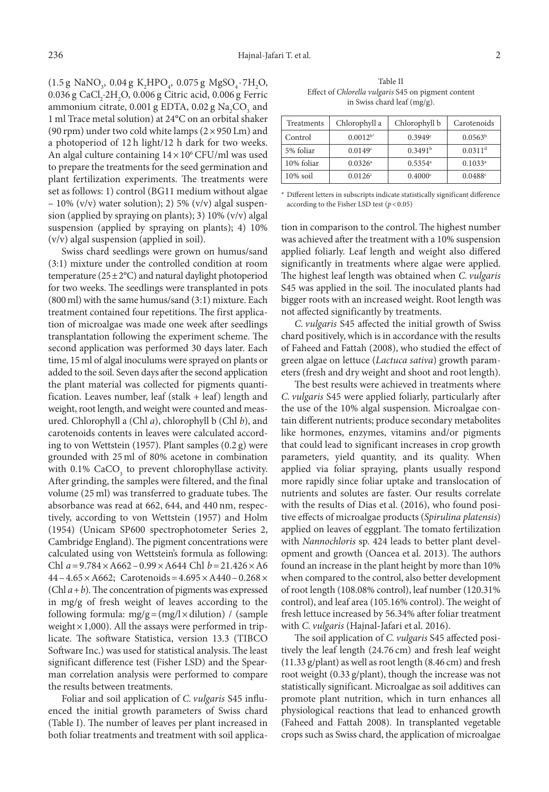$(1.5 \text{ g } \text{NaNO}_3, 0.04 \text{ g } \text{K}_2 \text{HPO}_4, 0.075 \text{ g } \text{MgSO}_4 \cdot 7\text{H}_2\text{O},$  $0.036$  g CaCl<sub>2</sub>·2H<sub>2</sub>O,  $0.006$  g Citric acid,  $0.006$  g Ferric ammonium citrate,  $0.001$  g EDTA,  $0.02$  g Na<sub>2</sub>CO<sub>3</sub> and 1 ml Trace metal solution) at 24°C on an orbital shaker (90 rpm) under two cold white lamps  $(2 \times 950 \text{ Lm})$  and a photoperiod of 12 h light/12 h dark for two weeks. An algal culture containing  $14 \times 10^6$  CFU/ml was used to prepare the treatments for the seed germination and plant fertilization experiments. The treatments were set as follows: 1) control (BG11 medium without algae – 10% (v/v) water solution); 2) 5% (v/v) algal suspension (applied by spraying on plants); 3) 10% (v/v) algal suspension (applied by spraying on plants); 4) 10% (v/v) algal suspension (applied in soil).

Swiss chard seedlings were grown on humus/sand (3:1) mixture under the controlled condition at room temperature  $(25\pm2°C)$  and natural daylight photoperiod for two weeks. The seedlings were transplanted in pots (800 ml) with the same humus/sand (3:1) mixture. Each treatment contained four repetitions. The first application of microalgae was made one week after seedlings transplantation following the experiment scheme. The second application was performed 30 days later. Each time, 15 ml of algal inoculums were sprayed on plants or added to the soil. Seven days after the second application the plant material was collected for pigments quantification. Leaves number, leaf (stalk + leaf) length and weight, root length, and weight were counted and measured. Chlorophyll a (Chl *a*), chlorophyll b (Chl *b*), and carotenoids contents in leaves were calculated according to von Wettstein (1957). Plant samples (0.2 g) were grounded with 25 ml of 80% acetone in combination with  $0.1\%$  CaCO<sub>3</sub> to prevent chlorophyllase activity. After grinding, the samples were filtered, and the final volume (25 ml) was transferred to graduate tubes. The absorbance was read at 662, 644, and 440 nm, respectively, according to von Wettstein (1957) and Holm (1954) (Unicam SP600 spectrophotometer Series 2, Cambridge England). The pigment concentrations were calculated using von Wettstein's formula as following: Chl *a*=9.784×A662–0.99×A644 Chl *b*=21.426×A6  $44 - 4.65 \times A662$ ; Carotenoids =  $4.695 \times A440 - 0.268 \times$ (Chl *a*+*b*). The concentration of pigments was expressed in mg/g of fresh weight of leaves according to the following formula:  $mg/g = (mg/l \times dilution)$  / (sample weight  $\times$  1,000). All the assays were performed in triplicate. The software Statistica, version 13.3 (TIBCO Software Inc.) was used for statistical analysis. The least significant difference test (Fisher LSD) and the Spearman correlation analysis were performed to compare the results between treatments.

Foliar and soil application of *C. vulgaris* S45 influenced the initial growth parameters of Swiss chard (Table I). The number of leaves per plant increased in both foliar treatments and treatment with soil applica-

Table II Effect of *Chlorella vulgaris* S45 on pigment content in Swiss chard leaf (mg/g).

| Treatments  | Chlorophyll a         | Chlorophyll b         | Carotenoids           |
|-------------|-----------------------|-----------------------|-----------------------|
| Control     | $0.0012^{b^*}$        | 0.3949c               | $0.0563^{\rm b}$      |
| 5% foliar   | 0.0149 <sup>c</sup>   | 0.3491 <sup>b</sup>   | $0.0311$ <sup>d</sup> |
| 10% foliar  | $0.0326$ <sup>a</sup> | $0.5354$ <sup>a</sup> | $0.1033^a$            |
| $10\%$ soil | 0.0126c               | $0.4000^{\circ}$      | 0.0488c               |

\* Different letters in subscripts indicate statistically significant difference according to the Fisher LSD test  $(p < 0.05)$ 

tion in comparison to the control. The highest number was achieved after the treatment with a 10% suspension applied foliarly. Leaf length and weight also differed significantly in treatments where algae were applied. The highest leaf length was obtained when *C. vulgaris* S45 was applied in the soil. The inoculated plants had bigger roots with an increased weight. Root length was not affected significantly by treatments.

*C. vulgaris* S45 affected the initial growth of Swiss chard positively, which is in accordance with the results of Faheed and Fattah (2008), who studied the effect of green algae on lettuce (*Lactuca sativa*) growth parameters (fresh and dry weight and shoot and root length).

The best results were achieved in treatments where *C. vulgaris* S45 were applied foliarly, particularly after the use of the 10% algal suspension. Microalgae contain different nutrients; produce secondary metabolites like hormones, enzymes, vitamins and/or pigments that could lead to significant increases in crop growth parameters, yield quantity, and its quality. When applied via foliar spraying, plants usually respond more rapidly since foliar uptake and translocation of nutrients and solutes are faster. Our results correlate with the results of Dias et al. (2016), who found positive effects of microalgae products (*Spirulina platensis*) applied on leaves of eggplant. The tomato fertilization with *Nannochloris* sp. 424 leads to better plant development and growth (Oancea et al. 2013). The authors found an increase in the plant height by more than 10% when compared to the control, also better development of root length (108.08% control), leaf number (120.31% control), and leaf area (105.16% control). The weight of fresh lettuce increased by 56.34% after foliar treatment with *C. vulgaris* (Hajnal-Jafari et al. 2016).

The soil application of *C. vulgaris* S45 affected positively the leaf length (24.76 cm) and fresh leaf weight (11.33 g/plant) as well as root length (8.46 cm) and fresh root weight (0.33 g/plant), though the increase was not statistically significant. Microalgae as soil additives can promote plant nutrition, which in turn enhances all physiological reactions that lead to enhanced growth (Faheed and Fattah 2008). In transplanted vegetable crops such as Swiss chard, the application of microalgae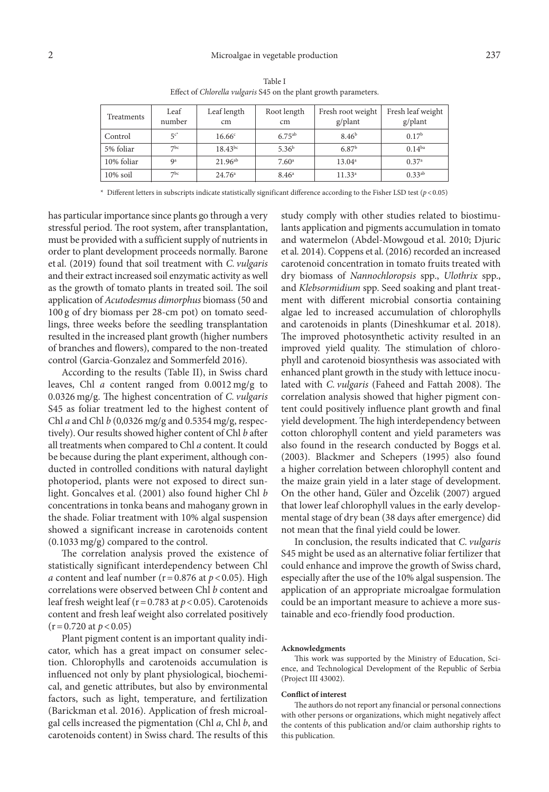| Treatments  | Leaf<br>number  | Leaf length<br>cm  | Root length<br>cm | Fresh root weight<br>g/plant | Fresh leaf weight<br>g/plant |
|-------------|-----------------|--------------------|-------------------|------------------------------|------------------------------|
| Control     | $5c^*$          | 16.66 <sup>c</sup> | $6.75^{ab}$       | 8.46 <sup>b</sup>            | 0.17 <sup>b</sup>            |
| 5% foliar   | 7 <sup>bc</sup> | $18.43^{bc}$       | 5.36 <sup>b</sup> | 6.87 <sup>b</sup>            | $0.14^{ba}$                  |
| 10% foliar  | Qa              | $21.96^{ab}$       | 7.60 <sup>a</sup> | $13.04^a$                    | 0.37a                        |
| $10\%$ soil | 7 <sup>bc</sup> | 24.76 <sup>a</sup> | $8.46^{\circ}$    | 11.33 <sup>a</sup>           | $0.33^{ab}$                  |

Table I Effect of *Chlorella vulgaris* S45 on the plant growth parameters.

 $*$  Different letters in subscripts indicate statistically significant difference according to the Fisher LSD test ( $p$ <0.05)

has particular importance since plants go through a very stressful period. The root system, after transplantation, must be provided with a sufficient supply of nutrients in order to plant development proceeds normally. Barone et al. (2019) found that soil treatment with *C. vulgaris* and their extract increased soil enzymatic activity as well as the growth of tomato plants in treated soil. The soil application of *Acutodesmus dimorphus* biomass (50 and 100 g of dry biomass per 28-cm pot) on tomato seedlings, three weeks before the seedling transplantation resulted in the increased plant growth (higher numbers of branches and flowers), compared to the non-treated control (Garcia-Gonzalez and Sommerfeld 2016).

According to the results (Table II), in Swiss chard leaves, Chl *a* content ranged from 0.0012 mg/g to 0.0326 mg/g. The highest concentration of *C. vulgaris* S45 as foliar treatment led to the highest content of Chl *a* and Chl *b* (0,0326 mg/g and 0.5354 mg/g, respectively). Our results showed higher content of Chl *b* after all treatments when compared to Chl *a* content. It could be because during the plant experiment, although conducted in controlled conditions with natural daylight photoperiod, plants were not exposed to direct sunlight. Goncalves et al. (2001) also found higher Chl *b*  concentrations in tonka beans and mahogany grown in the shade. Foliar treatment with 10% algal suspension showed a significant increase in carotenoids content (0.1033 mg/g) compared to the control.

The correlation analysis proved the existence of statistically significant interdependency between Chl *a* content and leaf number ( $r = 0.876$  at  $p < 0.05$ ). High correlations were observed between Chl *b* content and leaf fresh weight leaf ( $r = 0.783$  at  $p < 0.05$ ). Carotenoids content and fresh leaf weight also correlated positively  $(r=0.720$  at  $p < 0.05$ )

Plant pigment content is an important quality indicator, which has a great impact on consumer selection. Chlorophylls and carotenoids accumulation is influenced not only by plant physiological, biochemical, and genetic attributes, but also by environmental factors, such as light, temperature, and fertilization (Barickman et al. 2016). Application of fresh microalgal cells increased the pigmentation (Chl *a*, Chl *b*, and carotenoids content) in Swiss chard. The results of this study comply with other studies related to biostimulants application and pigments accumulation in tomato and watermelon (Abdel-Mowgoud et al. 2010; Djuric et al*.* 2014). Coppens et al. (2016) recorded an increased carotenoid concentration in tomato fruits treated with dry biomass of *Nannochloropsis* spp., *Ulothrix* spp., and *Klebsormidium* spp. Seed soaking and plant treatment with different microbial consortia containing algae led to increased accumulation of chlorophylls and carotenoids in plants (Dineshkumar et al. 2018). The improved photosynthetic activity resulted in an improved yield quality. The stimulation of chlorophyll and carotenoid biosynthesis was associated with enhanced plant growth in the study with lettuce inoculated with *C. vulgaris* (Faheed and Fattah 2008). The correlation analysis showed that higher pigment content could positively influence plant growth and final yield development. The high interdependency between cotton chlorophyll content and yield parameters was also found in the research conducted by Boggs et al. (2003). Blackmer and Schepers (1995) also found a higher correlation between chlorophyll content and the maize grain yield in a later stage of development. On the other hand, Güler and Özcelik (2007) argued that lower leaf chlorophyll values in the early developmental stage of dry bean (38 days after emergence) did not mean that the final yield could be lower.

In conclusion, the results indicated that *C. vulgaris* S45 might be used as an alternative foliar fertilizer that could enhance and improve the growth of Swiss chard, especially after the use of the 10% algal suspension. The application of an appropriate microalgae formulation could be an important measure to achieve a more sustainable and eco-friendly food production.

### **Acknowledgments**

This work was supported by the Ministry of Education, Science, and Technological Development of the Republic of Serbia (Project III 43002).

### **Conflict of interest**

The authors do not report any financial or personal connections with other persons or organizations, which might negatively affect the contents of this publication and/or claim authorship rights to this publication.